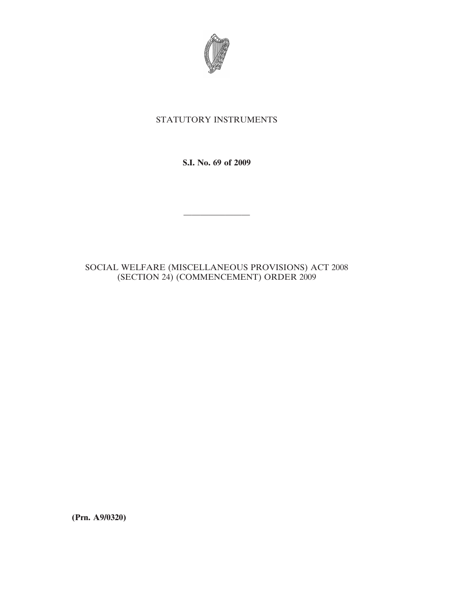

## STATUTORY INSTRUMENTS

**S.I. No. 69 of 2009**

————————

## SOCIAL WELFARE (MISCELLANEOUS PROVISIONS) ACT 2008 (SECTION 24) (COMMENCEMENT) ORDER 2009

**(Prn. A9/0320)**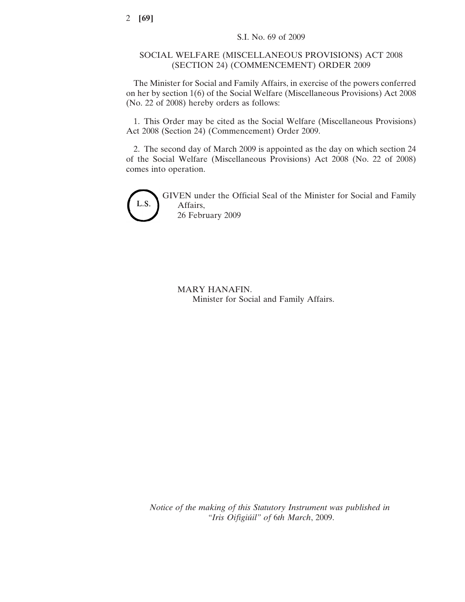## SOCIAL WELFARE (MISCELLANEOUS PROVISIONS) ACT 2008 (SECTION 24) (COMMENCEMENT) ORDER 2009

The Minister for Social and Family Affairs, in exercise of the powers conferred on her by section 1(6) of the Social Welfare (Miscellaneous Provisions) Act 2008 (No. 22 of 2008) hereby orders as follows:

1. This Order may be cited as the Social Welfare (Miscellaneous Provisions) Act 2008 (Section 24) (Commencement) Order 2009.

2. The second day of March 2009 is appointed as the day on which section 24 of the Social Welfare (Miscellaneous Provisions) Act 2008 (No. 22 of 2008) comes into operation.



GIVEN under the Official Seal of the Minister for Social and Family Affairs, 26 February 2009

MARY HANAFIN. Minister for Social and Family Affairs.

*Notice of the making of this Statutory Instrument was published in "Iris Oifigiu´il" of* 6*th March*, 2009.